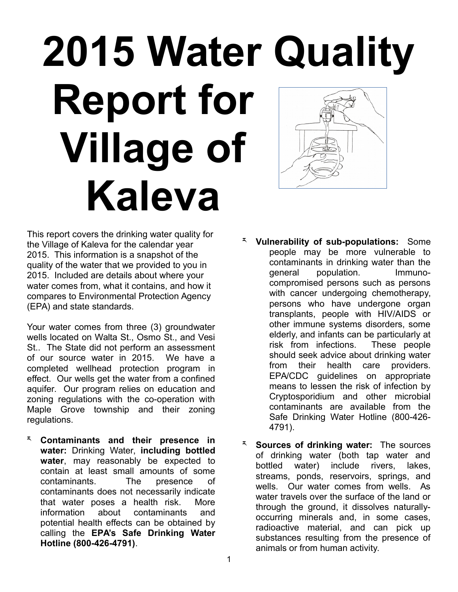## **2015 Water Quality Report for Village of Kaleva**

This report covers the drinking water quality for the Village of Kaleva for the calendar year 2015. This information is a snapshot of the quality of the water that we provided to you in 2015. Included are details about where your water comes from, what it contains, and how it compares to Environmental Protection Agency (EPA) and state standards.

Your water comes from three (3) groundwater wells located on Walta St., Osmo St., and Vesi St.. The State did not perform an assessment of our source water in 2015. We have a completed wellhead protection program in effect. Our wells get the water from a confined aquifer. Our program relies on education and zoning regulations with the co-operation with Maple Grove township and their zoning regulations.

- ར **Contaminants and their presence in water:** Drinking Water, **including bottled water**, may reasonably be expected to contain at least small amounts of some contaminants. The presence of contaminants does not necessarily indicate that water poses a health risk. More information about contaminants and potential health effects can be obtained by calling the **EPA's Safe Drinking Water Hotline (800-426-4791)**.
- ར **Vulnerability of sub-populations:** Some people may be more vulnerable to contaminants in drinking water than the general population. Immunocompromised persons such as persons with cancer undergoing chemotherapy, persons who have undergone organ transplants, people with HIV/AIDS or other immune systems disorders, some elderly, and infants can be particularly at risk from infections. These people should seek advice about drinking water from their health care providers. EPA/CDC guidelines on appropriate means to lessen the risk of infection by Cryptosporidium and other microbial contaminants are available from the Safe Drinking Water Hotline (800-426- 4791).
- **Sources of drinking water:** The sources of drinking water (both tap water and bottled water) include rivers, lakes, streams, ponds, reservoirs, springs, and wells. Our water comes from wells. As water travels over the surface of the land or through the ground, it dissolves naturallyoccurring minerals and, in some cases, radioactive material, and can pick up substances resulting from the presence of animals or from human activity.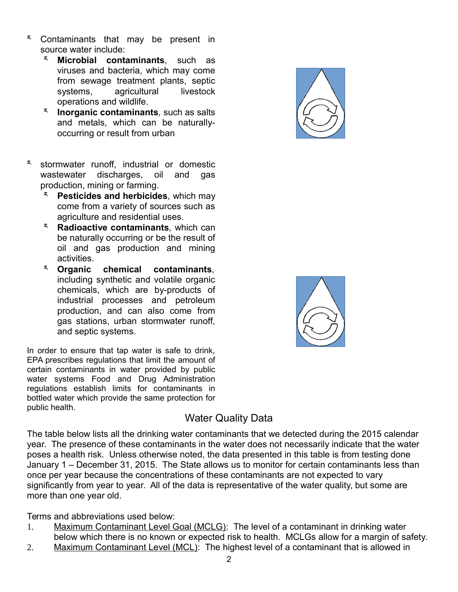- \* Contaminants that may be present in source water include:
	- ར **Microbial contaminants***,* such as viruses and bacteria, which may come from sewage treatment plants, septic systems, agricultural livestock operations and wildlife.
	- ར **Inorganic contaminants***,* such as salts and metals, which can be naturallyoccurring or result from urban
- \* stormwater runoff, industrial or domestic<br>wastewater discharges, oil and gas discharges, production, mining or farming.
	- ར **Pesticides and herbicides***,* which may come from a variety of sources such as agriculture and residential uses.
	- ར **Radioactive contaminants***,* which can be naturally occurring or be the result of oil and gas production and mining activities.
	- ར **Organic chemical contaminants***,* including synthetic and volatile organic chemicals, which are by-products of industrial processes and petroleum production, and can also come from gas stations, urban stormwater runoff, and septic systems.

In order to ensure that tap water is safe to drink, EPA prescribes regulations that limit the amount of certain contaminants in water provided by public water systems Food and Drug Administration regulations establish limits for contaminants in bottled water which provide the same protection for public health.





## Water Quality Data

The table below lists all the drinking water contaminants that we detected during the 2015 calendar year. The presence of these contaminants in the water does not necessarily indicate that the water poses a health risk. Unless otherwise noted, the data presented in this table is from testing done January 1 – December 31, 2015. The State allows us to monitor for certain contaminants less than once per year because the concentrations of these contaminants are not expected to vary significantly from year to year. All of the data is representative of the water quality, but some are more than one year old.

Terms and abbreviations used below:

- 1. Maximum Contaminant Level Goal (MCLG): The level of a contaminant in drinking water below which there is no known or expected risk to health. MCLGs allow for a margin of safety.
- 2. Maximum Contaminant Level (MCL): The highest level of a contaminant that is allowed in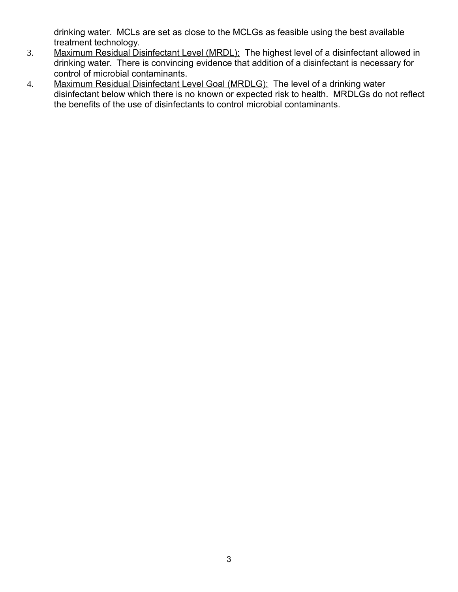drinking water. MCLs are set as close to the MCLGs as feasible using the best available treatment technology.

- 3. Maximum Residual Disinfectant Level (MRDL): The highest level of a disinfectant allowed in drinking water. There is convincing evidence that addition of a disinfectant is necessary for control of microbial contaminants.
- 4. Maximum Residual Disinfectant Level Goal (MRDLG): The level of a drinking water disinfectant below which there is no known or expected risk to health. MRDLGs do not reflect the benefits of the use of disinfectants to control microbial contaminants.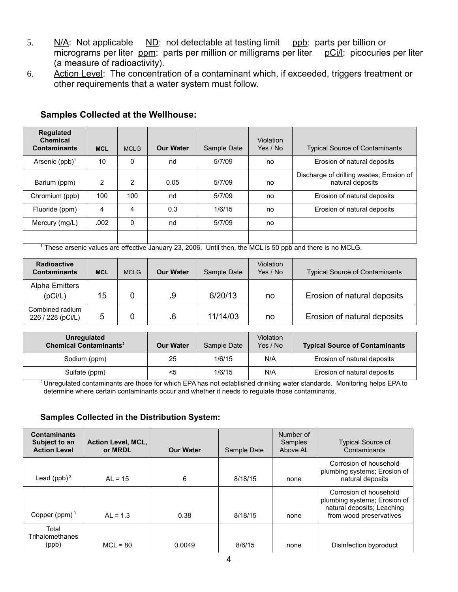- 5. N/A: Not applicable ND: not detectable at testing limit ppb: parts per billion or micrograms per liter ppm: parts per million or milligrams per liter pCi/l: picocuries per liter (a measure of radioactivity).
- 6. Action Level: The concentration of a contaminant which, if exceeded, triggers treatment or other requirements that a water system must follow.

| <b>Regulated</b><br><b>Chemical</b><br><b>Contaminants</b> | <b>MCL</b> | <b>MCLG</b>  | <b>Our Water</b> | Sample Date | Violation<br>Yes / No | <b>Typical Source of Contaminants</b>                        |
|------------------------------------------------------------|------------|--------------|------------------|-------------|-----------------------|--------------------------------------------------------------|
| Arsenic $(ppb)^1$                                          | 10         | $\mathbf{0}$ | nd               | 5/7/09      | no                    | Erosion of natural deposits                                  |
| Barium (ppm)                                               | 2          | 2            | 0.05             | 5/7/09      | no                    | Discharge of drilling wastes; Erosion of<br>natural deposits |
| Chromium (ppb)                                             | 100        | 100          | nd               | 5/7/09      | no                    | Erosion of natural deposits                                  |
| Fluoride (ppm)                                             | 4          | 4            | 0.3              | 1/6/15      | no                    | Erosion of natural deposits                                  |
| Mercury (mg/L)                                             | .002       | $\Omega$     | nd               | 5/7/09      | no                    |                                                              |
|                                                            |            |              |                  |             |                       |                                                              |

## **Samples Collected at the Wellhouse:**

1 These arsenic values are effective January 23, 2006. Until then, the MCL is 50 ppb and there is no MCLG.

| <b>Radioactive</b><br><b>Contaminants</b> | <b>MCL</b> | <b>MCLG</b> | <b>Our Water</b> | Sample Date | Violation<br>Yes / No | <b>Typical Source of Contaminants</b> |
|-------------------------------------------|------------|-------------|------------------|-------------|-----------------------|---------------------------------------|
| Alpha Emitters<br>(pCi/L)                 | 15         |             | .9               | 6/20/13     | no                    | Erosion of natural deposits           |
| Combined radium<br>226 / 228 (pCi/L)      | 5          |             | .6               | 11/14/03    | no                    | Erosion of natural deposits           |

| Unregulated<br><b>Chemical Contaminants<sup>2</sup></b> | <b>Our Water</b> | Sample Date | Violation<br>Yes / No | <b>Typical Source of Contaminants</b> |
|---------------------------------------------------------|------------------|-------------|-----------------------|---------------------------------------|
| Sodium (ppm)                                            | 25               | 1/6/15      | N/A                   | Erosion of natural deposits           |
| Sulfate (ppm)                                           | <5               | 1/6/15      | N/A                   | Erosion of natural deposits           |

<sup>2</sup> Unregulated contaminants are those for which EPA has not established drinking water standards. Monitoring helps EPA to determine where certain contaminants occur and whether it needs to regulate those contaminants.

## **Samples Collected in the Distribution System:**

| <b>Contaminants</b><br>Subject to an<br><b>Action Level</b> | <b>Action Level, MCL,</b><br>or MRDL | <b>Our Water</b> | Sample Date | Number of<br>Samples<br>Above AL | <b>Typical Source of</b><br>Contaminants                                                                        |
|-------------------------------------------------------------|--------------------------------------|------------------|-------------|----------------------------------|-----------------------------------------------------------------------------------------------------------------|
| Lead $(ppb)^3$                                              | $AL = 15$                            | 6                | 8/18/15     | none                             | Corrosion of household<br>plumbing systems; Erosion of<br>natural deposits                                      |
| Copper (ppm) $3$                                            | $AL = 1.3$                           | 0.38             | 8/18/15     | none                             | Corrosion of household<br>plumbing systems; Erosion of<br>natural deposits; Leaching<br>from wood preservatives |
| Total<br>Trihalomethanes<br>(ppb)                           | $MCL = 80$                           | 0.0049           | 8/6/15      | none                             | Disinfection byproduct                                                                                          |